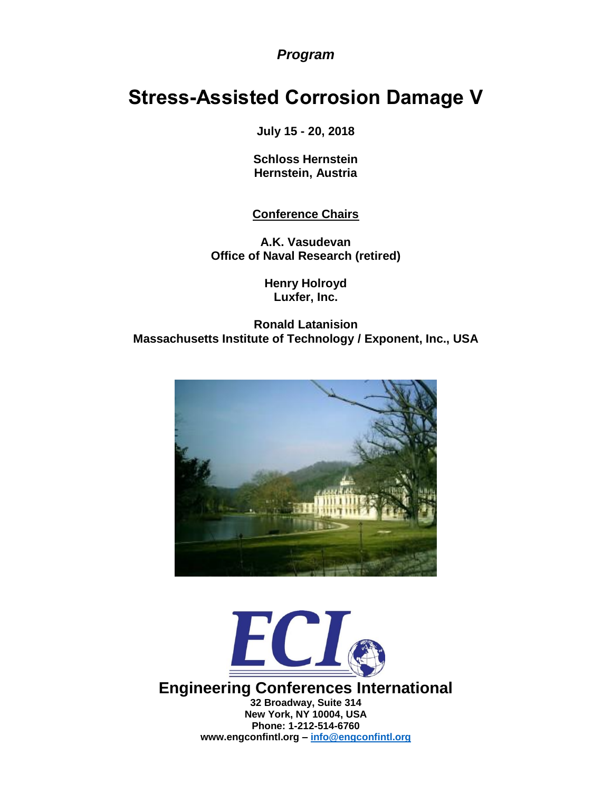# *Program*

# **Stress-Assisted Corrosion Damage V**

**July 15 - 20, 2018**

**Schloss Hernstein Hernstein, Austria**

# **Conference Chairs**

**A.K. Vasudevan Office of Naval Research (retired)**

> **Henry Holroyd Luxfer, Inc.**

## **Ronald Latanision Massachusetts Institute of Technology / Exponent, Inc., USA**





**Engineering Conferences International 32 Broad[way, Suite 314](mailto:info@engconfintl.org) New York, NY 10004, USA Phone: 1-212-514-6760 www.engconfintl.org – info@engconfintl.org**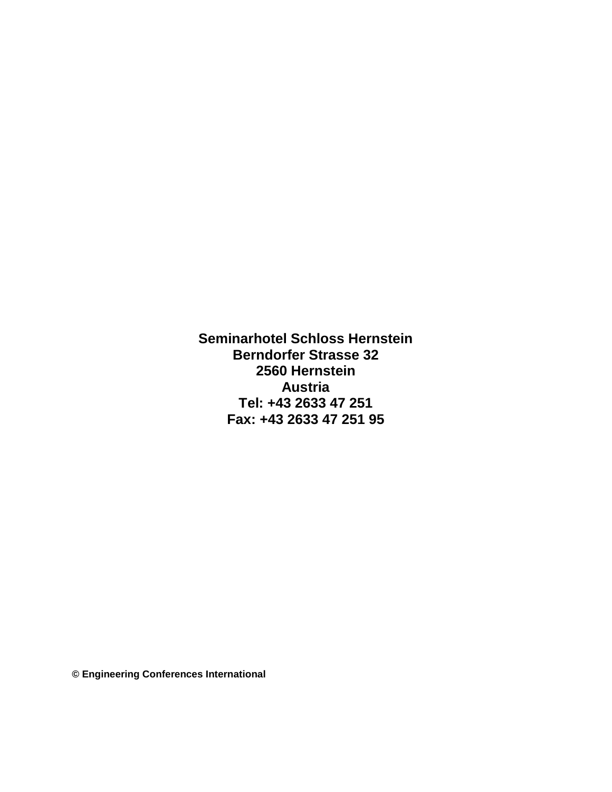**Seminarhotel Schloss Hernstein Berndorfer Strasse 32 2560 Hernstein Austria Tel: +43 2633 47 251 Fax: +43 2633 47 251 95**

**© Engineering Conferences International**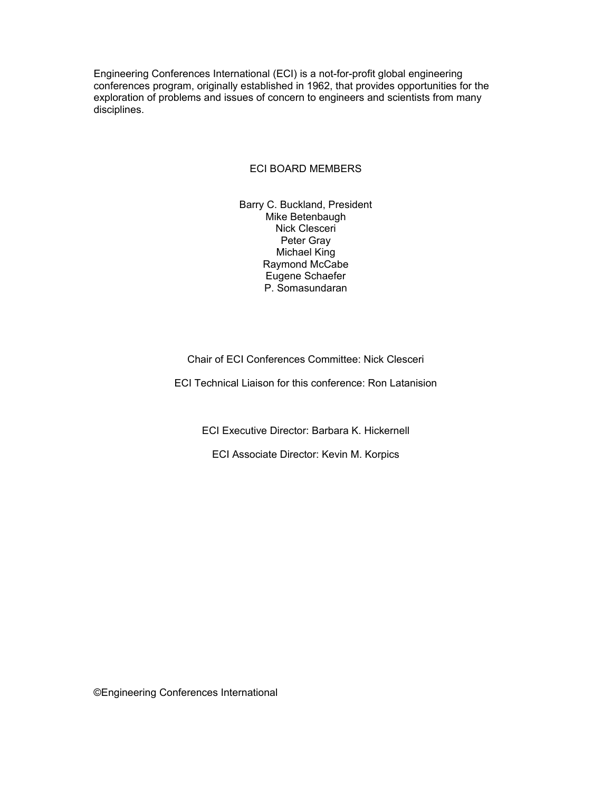Engineering Conferences International (ECI) is a not-for-profit global engineering conferences program, originally established in 1962, that provides opportunities for the exploration of problems and issues of concern to engineers and scientists from many disciplines.

#### ECI BOARD MEMBERS

Barry C. Buckland, President Mike Betenbaugh Nick Clesceri Peter Gray Michael King Raymond McCabe Eugene Schaefer P. Somasundaran

#### Chair of ECI Conferences Committee: Nick Clesceri

ECI Technical Liaison for this conference: Ron Latanision

ECI Executive Director: Barbara K. Hickernell

ECI Associate Director: Kevin M. Korpics

©Engineering Conferences International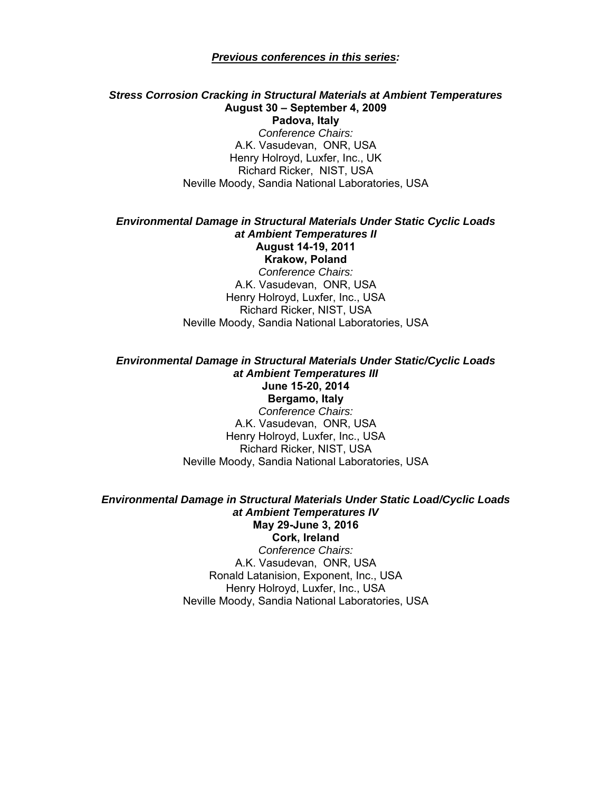#### *Previous conferences in this series:*

## *Stress Corrosion Cracking in Structural Materials at Ambient Temperatures*  **August 30 – September 4, 2009**

**Padova, Italy**  *Conference Chairs:*  A.K. Vasudevan, ONR, USA Henry Holroyd, Luxfer, Inc., UK Richard Ricker, NIST, USA Neville Moody, Sandia National Laboratories, USA

#### *Environmental Damage in Structural Materials Under Static Cyclic Loads at Ambient Temperatures II*  **August 14-19, 2011 Krakow, Poland**

*Conference Chairs:*  A.K. Vasudevan, ONR, USA Henry Holroyd, Luxfer, Inc., USA Richard Ricker, NIST, USA Neville Moody, Sandia National Laboratories, USA

*Environmental Damage in Structural Materials Under Static/Cyclic Loads at Ambient Temperatures III*  **June 15-20, 2014 Bergamo, Italy**  *Conference Chairs:*  A.K. Vasudevan, ONR, USA Henry Holroyd, Luxfer, Inc., USA Richard Ricker, NIST, USA Neville Moody, Sandia National Laboratories, USA

## *Environmental Damage in Structural Materials Under Static Load/Cyclic Loads at Ambient Temperatures IV*  **May 29-June 3, 2016 Cork, Ireland**

*Conference Chairs:*  A.K. Vasudevan, ONR, USA Ronald Latanision, Exponent, Inc., USA Henry Holroyd, Luxfer, Inc., USA Neville Moody, Sandia National Laboratories, USA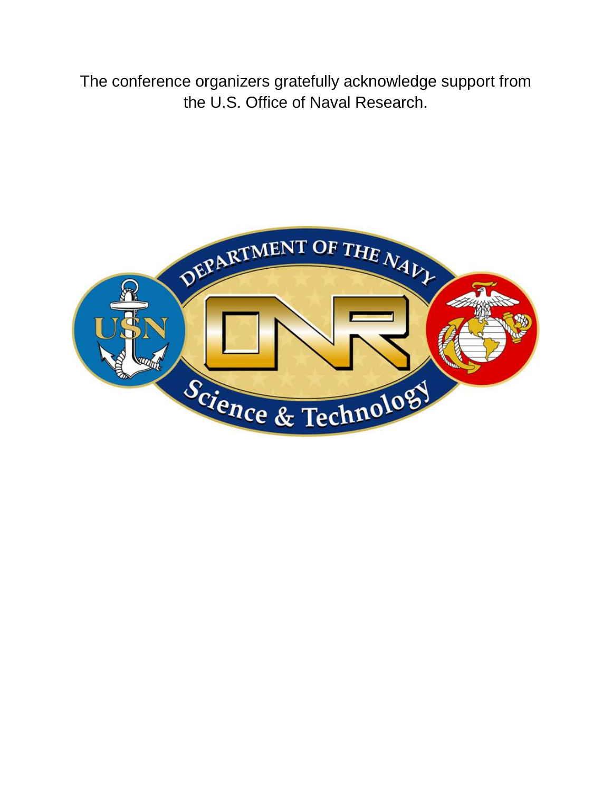The conference organizers gratefully acknowledge support from the U.S. Office of Naval Research.

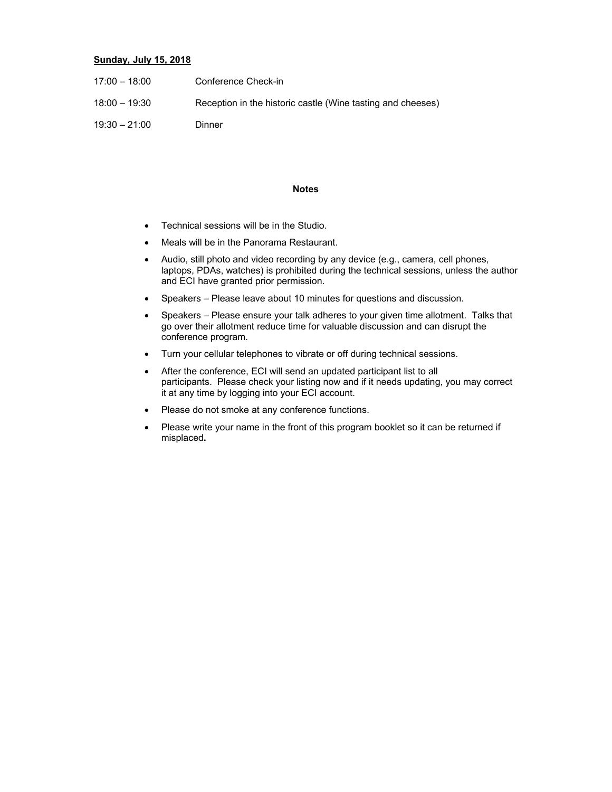#### **Sunday, July 15, 2018**

| $17:00 - 18:00$ | Conference Check-in                                         |
|-----------------|-------------------------------------------------------------|
| $18:00 - 19:30$ | Reception in the historic castle (Wine tasting and cheeses) |
| $19:30 - 21:00$ | Dinner                                                      |

#### **Notes**

- Technical sessions will be in the Studio.
- Meals will be in the Panorama Restaurant.
- Audio, still photo and video recording by any device (e.g., camera, cell phones, laptops, PDAs, watches) is prohibited during the technical sessions, unless the author and ECI have granted prior permission.
- Speakers Please leave about 10 minutes for questions and discussion.
- Speakers Please ensure your talk adheres to your given time allotment. Talks that go over their allotment reduce time for valuable discussion and can disrupt the conference program.
- Turn your cellular telephones to vibrate or off during technical sessions.
- After the conference, ECI will send an updated participant list to all participants. Please check your listing now and if it needs updating, you may correct it at any time by logging into your ECI account.
- Please do not smoke at any conference functions.
- Please write your name in the front of this program booklet so it can be returned if misplaced**.**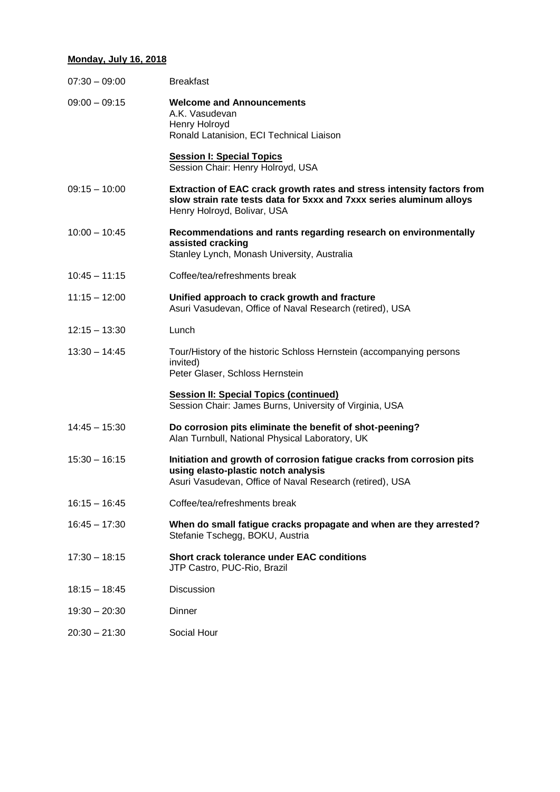## **Monday, July 16, 2018**

| <b>Breakfast</b>                                                                                                                                                              |
|-------------------------------------------------------------------------------------------------------------------------------------------------------------------------------|
| <b>Welcome and Announcements</b><br>A.K. Vasudevan<br>Henry Holroyd<br>Ronald Latanision, ECI Technical Liaison                                                               |
| <b>Session I: Special Topics</b><br>Session Chair: Henry Holroyd, USA                                                                                                         |
| Extraction of EAC crack growth rates and stress intensity factors from<br>slow strain rate tests data for 5xxx and 7xxx series aluminum alloys<br>Henry Holroyd, Bolivar, USA |
| Recommendations and rants regarding research on environmentally<br>assisted cracking<br>Stanley Lynch, Monash University, Australia                                           |
| Coffee/tea/refreshments break                                                                                                                                                 |
| Unified approach to crack growth and fracture<br>Asuri Vasudevan, Office of Naval Research (retired), USA                                                                     |
| Lunch                                                                                                                                                                         |
| Tour/History of the historic Schloss Hernstein (accompanying persons<br>invited)<br>Peter Glaser, Schloss Hernstein                                                           |
| <b>Session II: Special Topics (continued)</b><br>Session Chair: James Burns, University of Virginia, USA                                                                      |
| Do corrosion pits eliminate the benefit of shot-peening?<br>Alan Turnbull, National Physical Laboratory, UK                                                                   |
| Initiation and growth of corrosion fatigue cracks from corrosion pits<br>using elasto-plastic notch analysis<br>Asuri Vasudevan, Office of Naval Research (retired), USA      |
| Coffee/tea/refreshments break                                                                                                                                                 |
| When do small fatigue cracks propagate and when are they arrested?<br>Stefanie Tschegg, BOKU, Austria                                                                         |
| <b>Short crack tolerance under EAC conditions</b><br>JTP Castro, PUC-Rio, Brazil                                                                                              |
| Discussion                                                                                                                                                                    |
| Dinner                                                                                                                                                                        |
| Social Hour                                                                                                                                                                   |
|                                                                                                                                                                               |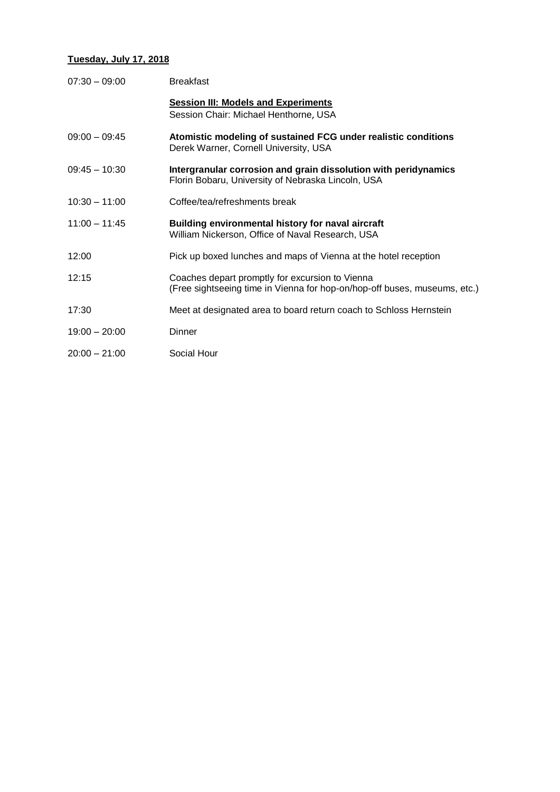## **Tuesday, July 17, 2018**

| $07:30 - 09:00$ | <b>Breakfast</b>                                                                                                             |
|-----------------|------------------------------------------------------------------------------------------------------------------------------|
|                 | <b>Session III: Models and Experiments</b><br>Session Chair: Michael Henthorne, USA                                          |
| $09:00 - 09:45$ | Atomistic modeling of sustained FCG under realistic conditions<br>Derek Warner, Cornell University, USA                      |
| $09:45 - 10:30$ | Intergranular corrosion and grain dissolution with peridynamics<br>Florin Bobaru, University of Nebraska Lincoln, USA        |
| $10:30 - 11:00$ | Coffee/tea/refreshments break                                                                                                |
| $11:00 - 11:45$ | Building environmental history for naval aircraft<br>William Nickerson, Office of Naval Research, USA                        |
| 12:00           | Pick up boxed lunches and maps of Vienna at the hotel reception                                                              |
| 12:15           | Coaches depart promptly for excursion to Vienna<br>(Free sightseeing time in Vienna for hop-on/hop-off buses, museums, etc.) |
| 17:30           | Meet at designated area to board return coach to Schloss Hernstein                                                           |
| $19:00 - 20:00$ | Dinner                                                                                                                       |
| $20:00 - 21:00$ | Social Hour                                                                                                                  |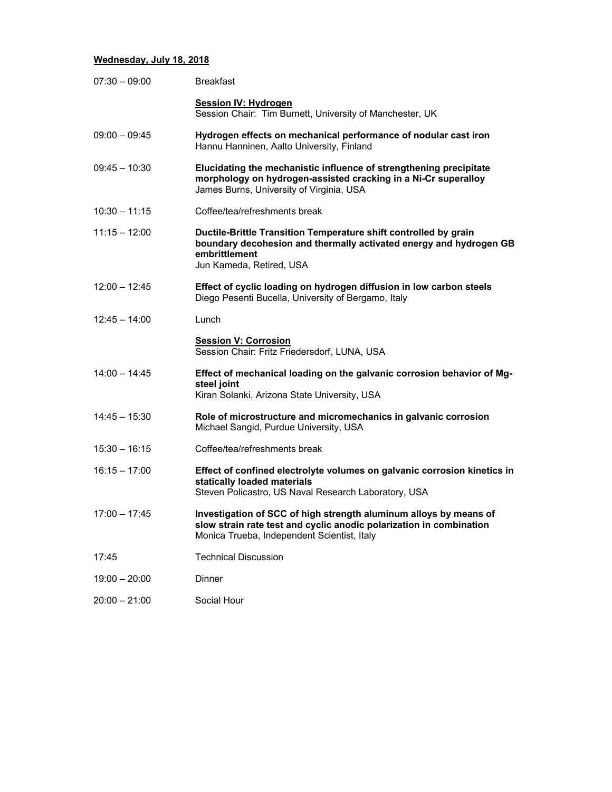#### **Wednesday, July 18, 2018**

| $07:30 - 09:00$ | <b>Breakfast</b>                                                                                                                                                                        |
|-----------------|-----------------------------------------------------------------------------------------------------------------------------------------------------------------------------------------|
|                 | <b>Session IV: Hydrogen</b><br>Session Chair: Tim Burnett, University of Manchester, UK                                                                                                 |
| $09:00 - 09:45$ | Hydrogen effects on mechanical performance of nodular cast iron<br>Hannu Hanninen, Aalto University, Finland                                                                            |
| $09:45 - 10:30$ | Elucidating the mechanistic influence of strengthening precipitate<br>morphology on hydrogen-assisted cracking in a Ni-Cr superalloy<br>James Burns, University of Virginia, USA        |
| $10:30 - 11:15$ | Coffee/tea/refreshments break                                                                                                                                                           |
| $11:15 - 12:00$ | Ductile-Brittle Transition Temperature shift controlled by grain<br>boundary decohesion and thermally activated energy and hydrogen GB<br>embrittlement<br>Jun Kameda, Retired, USA     |
| $12:00 - 12:45$ | Effect of cyclic loading on hydrogen diffusion in low carbon steels<br>Diego Pesenti Bucella, University of Bergamo, Italy                                                              |
| $12:45 - 14:00$ | Lunch                                                                                                                                                                                   |
|                 | <b>Session V: Corrosion</b><br>Session Chair: Fritz Friedersdorf, LUNA, USA                                                                                                             |
| $14:00 - 14:45$ | Effect of mechanical loading on the galvanic corrosion behavior of Mg-<br>steel joint<br>Kiran Solanki, Arizona State University, USA                                                   |
| $14:45 - 15:30$ | Role of microstructure and micromechanics in galvanic corrosion<br>Michael Sangid, Purdue University, USA                                                                               |
| $15:30 - 16:15$ | Coffee/tea/refreshments break                                                                                                                                                           |
| $16:15 - 17:00$ | Effect of confined electrolyte volumes on galvanic corrosion kinetics in<br>statically loaded materials<br>Steven Policastro, US Naval Research Laboratory, USA                         |
| $17:00 - 17:45$ | Investigation of SCC of high strength aluminum alloys by means of<br>slow strain rate test and cyclic anodic polarization in combination<br>Monica Trueba, Independent Scientist, Italy |
| 17:45           | <b>Technical Discussion</b>                                                                                                                                                             |
| $19:00 - 20:00$ | Dinner                                                                                                                                                                                  |
| $20:00 - 21:00$ | Social Hour                                                                                                                                                                             |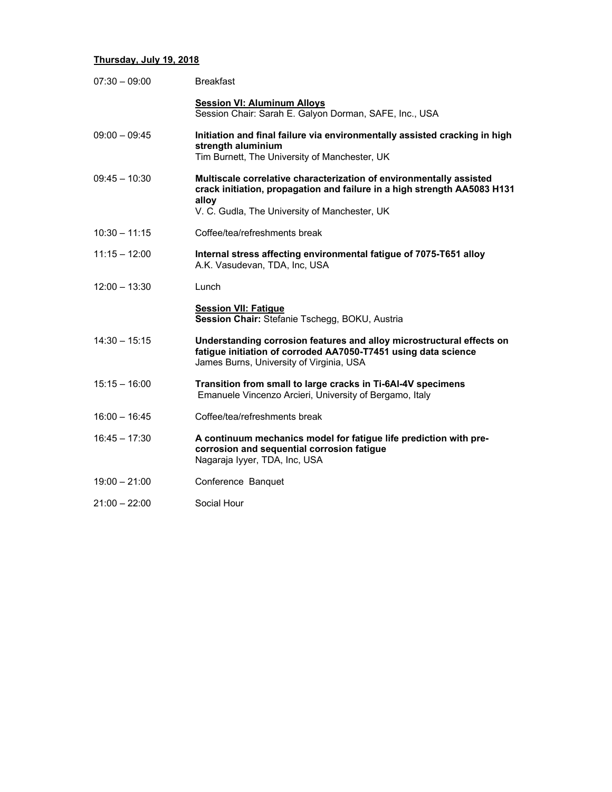#### **Thursday, July 19, 2018**

| $07:30 - 09:00$ | <b>Breakfast</b>                                                                                                                                                                                          |
|-----------------|-----------------------------------------------------------------------------------------------------------------------------------------------------------------------------------------------------------|
|                 | <b>Session VI: Aluminum Alloys</b><br>Session Chair: Sarah E. Galyon Dorman, SAFE, Inc., USA                                                                                                              |
| $09:00 - 09:45$ | Initiation and final failure via environmentally assisted cracking in high<br>strength aluminium<br>Tim Burnett, The University of Manchester, UK                                                         |
| $09:45 - 10:30$ | Multiscale correlative characterization of environmentally assisted<br>crack initiation, propagation and failure in a high strength AA5083 H131<br>alloy<br>V. C. Gudla, The University of Manchester, UK |
| $10:30 - 11:15$ | Coffee/tea/refreshments break                                                                                                                                                                             |
| $11:15 - 12:00$ | Internal stress affecting environmental fatigue of 7075-T651 alloy<br>A.K. Vasudevan, TDA, Inc, USA                                                                                                       |
| $12:00 - 13:30$ | Lunch                                                                                                                                                                                                     |
|                 | <b>Session VII: Fatigue</b><br>Session Chair: Stefanie Tschegg, BOKU, Austria                                                                                                                             |
| $14:30 - 15:15$ | Understanding corrosion features and alloy microstructural effects on<br>fatigue initiation of corroded AA7050-T7451 using data science<br>James Burns, University of Virginia, USA                       |
| $15:15 - 16:00$ | Transition from small to large cracks in Ti-6AI-4V specimens<br>Emanuele Vincenzo Arcieri, University of Bergamo, Italy                                                                                   |
| $16:00 - 16:45$ | Coffee/tea/refreshments break                                                                                                                                                                             |
| $16:45 - 17:30$ | A continuum mechanics model for fatigue life prediction with pre-<br>corrosion and sequential corrosion fatigue<br>Nagaraja lyyer, TDA, Inc, USA                                                          |
| $19:00 - 21:00$ | Conference Banquet                                                                                                                                                                                        |
| $21:00 - 22:00$ | Social Hour                                                                                                                                                                                               |